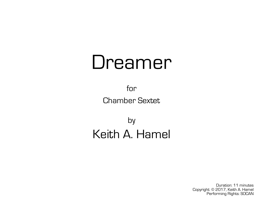## Dreamer

for Chamber Sextet

by Keith A. Hamel

> Duration: 11 minutes Copyright: © 2017, Keith A. Hamel Performing Rights: SOCAN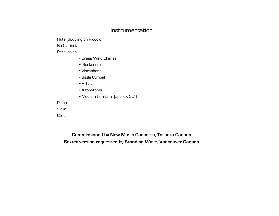## Instrumentation

Flute (doubling on Piccolo)

Bb Clarinet

Percussion

- Brass Wind Chimes
- Glockenspiel
- Vibraphone
- Sizzle Cymbal
- Hi-hat
- 4 tom-toms
- Medium tam-tam (approx. 30")

Piano

Violin

Cello

**Commissioned by New Music Concerts, Toronto Canada Sextet version requested by Standing Wave, Vancouver Canada**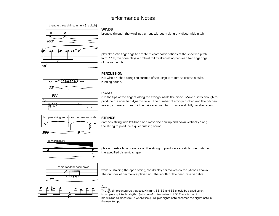## Performance Notes



**WINDS** 

breathe through the wind instrument without making any discernible pitch

play alternate fingerings to create microtonal variations of the specified pitch. In m. 110, the oboe plays a timbral trill by alternating between two fingerings of the same pitch.





rub wire brushes along the surface of the large tom-tom to create a quiet rustling sound.

## **PIANO**



rub the tips of the fingers along the strings inside the piano. Move quickly enough to produce the specified dynamic level. The number of strings rubbed and the pitches are approximate. In m. 57 the nails are used to produce a slightly harsher sound.



**STRINGS** 

dampen string with left hand and move the bow up and down vertically along the string to produce a quiet rustling sound



play with extra bow pressure on the string to produce a scratch tone matching the specified dynamic shape.



while sustaining the open string, rapidly play harmonics on the pitches shown. The number of harmonics played and the length of the gesture is variable.



 $\frac{4}{10}$  time signatures that occur in mm. 83, 85 and 86 should be played as an incomplete quintuplet rhythm (with only 4 notes instead of 5.) There is metric modulation at measure 87 where the quintuplet eighth note becomes the eighth note in the new tempo.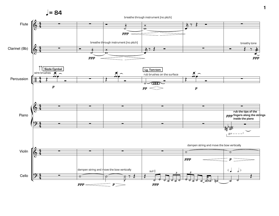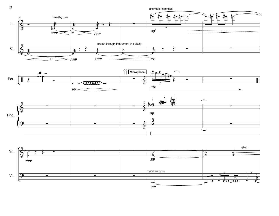$\overline{\mathbf{2}}$ 

alternate fingerings

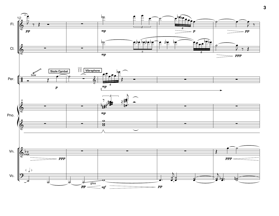

 $\mathbf{3}$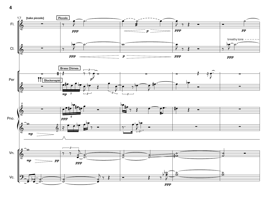

 $\boldsymbol{ppp}$ 

 $\overline{\mathbf{4}}$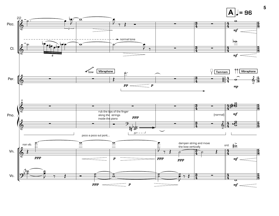

 $\overline{\mathbf{5}}$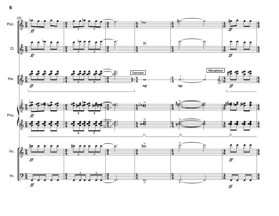

 $6\phantom{1}$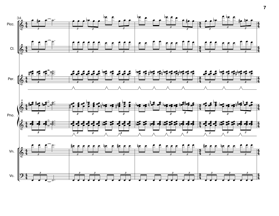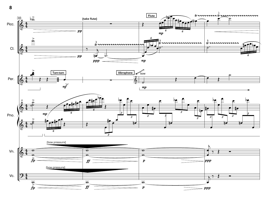$\bf{8}$ 

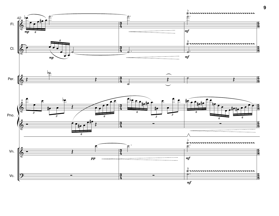

 $\boldsymbol{9}$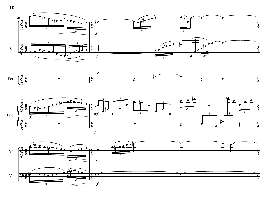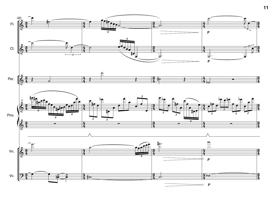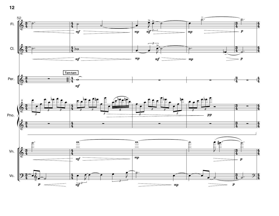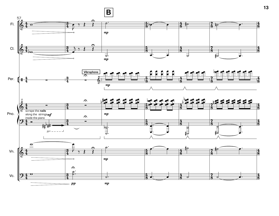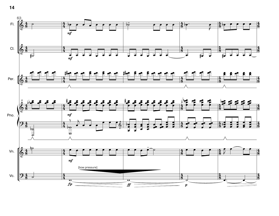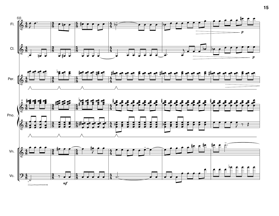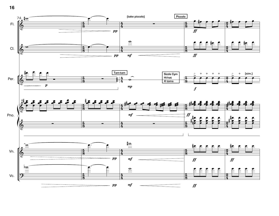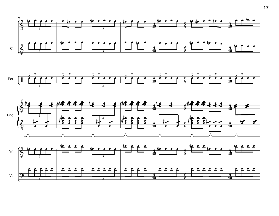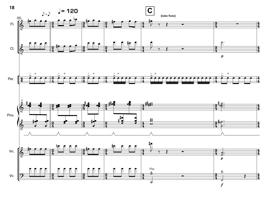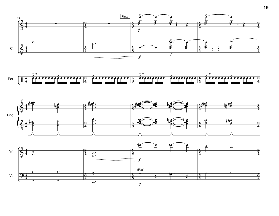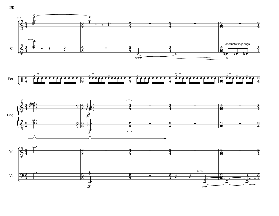

 $20\,$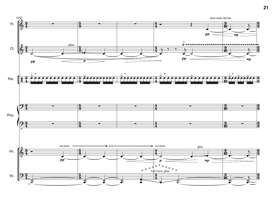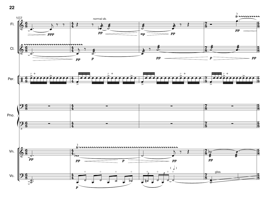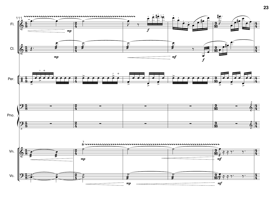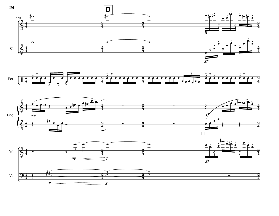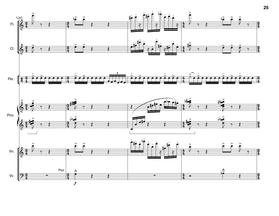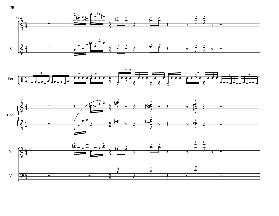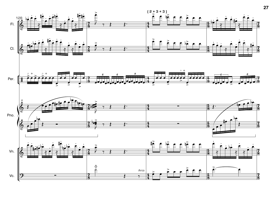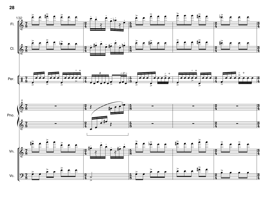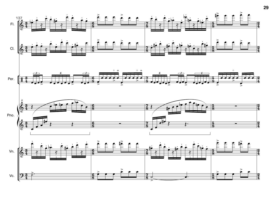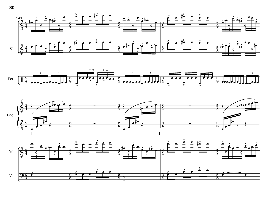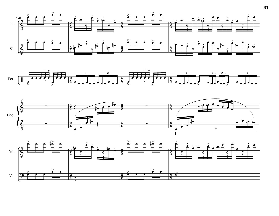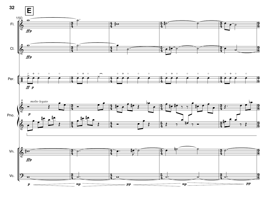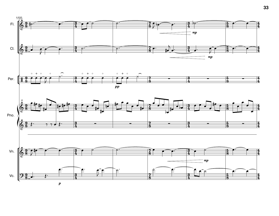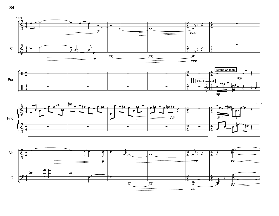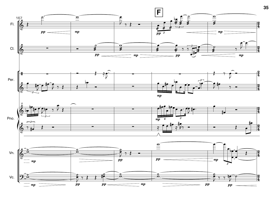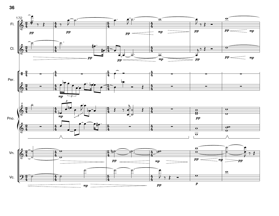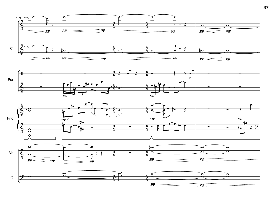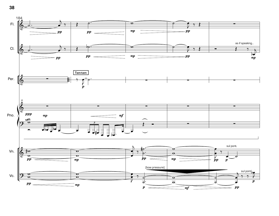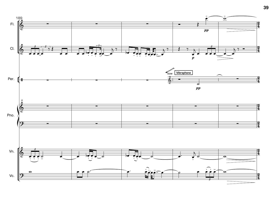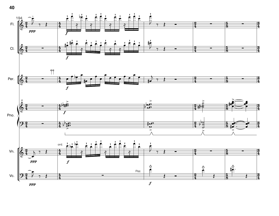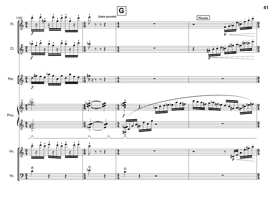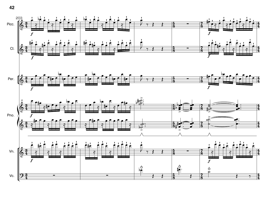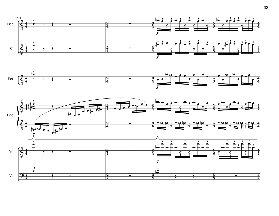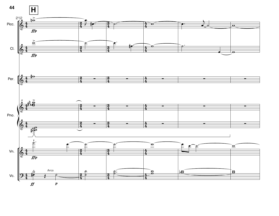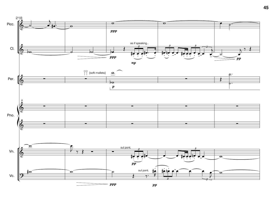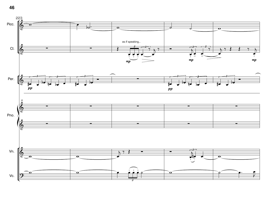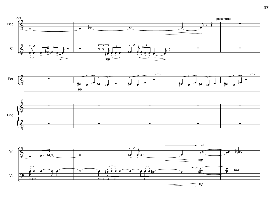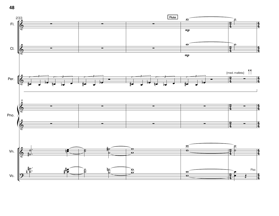

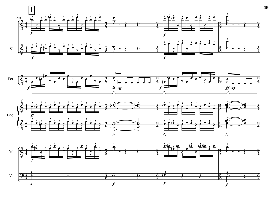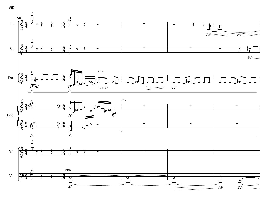

 ${\bf 50}$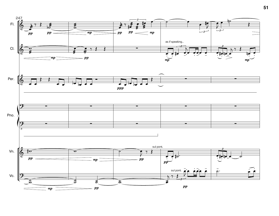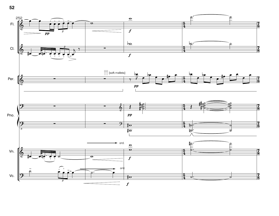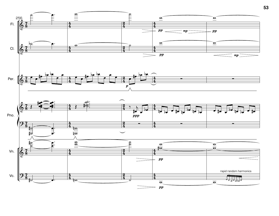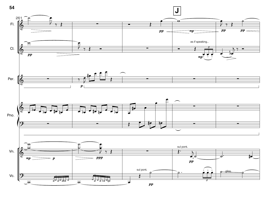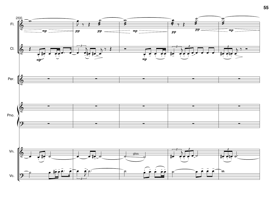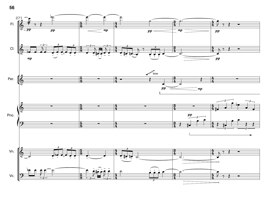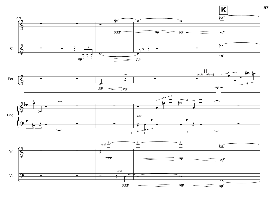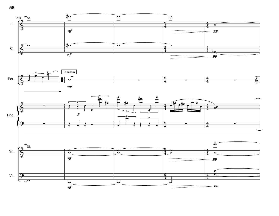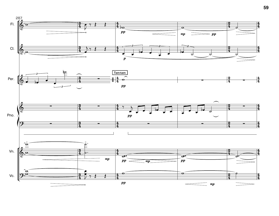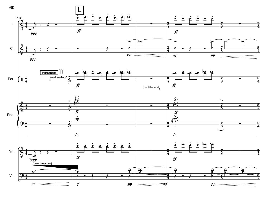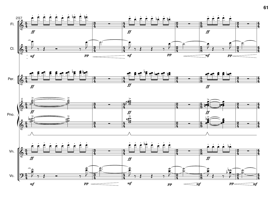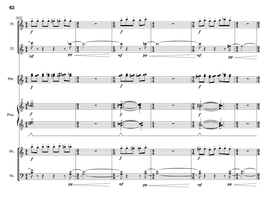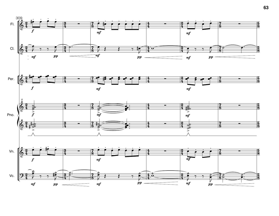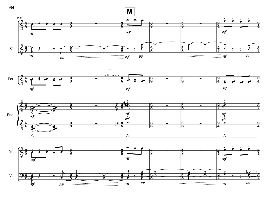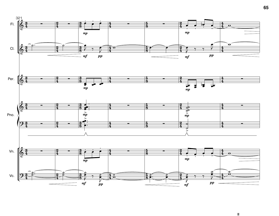

 $\mathbf{II}$